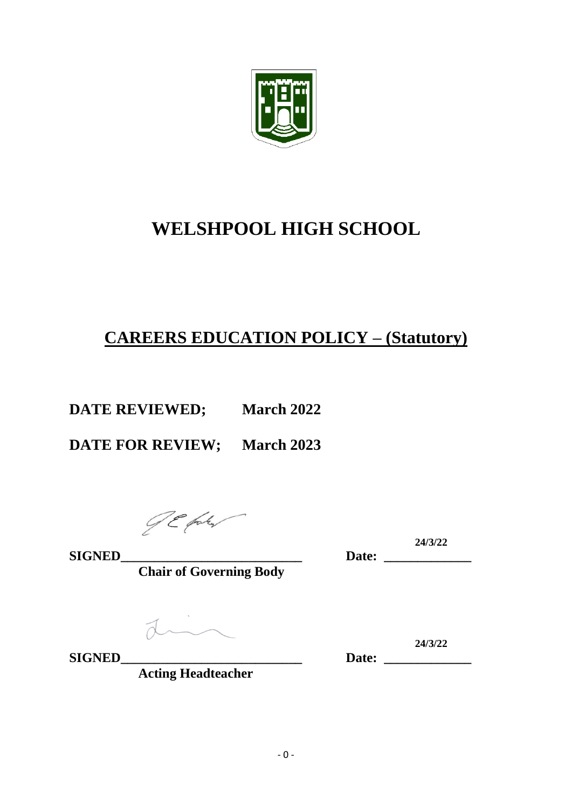

# **WELSHPOOL HIGH SCHOOL**

# **CAREERS EDUCATION POLICY – (Statutory)**

**DATE REVIEWED; March 2022**

**DATE FOR REVIEW; March 2023**

**SIGNED\_\_\_\_\_\_\_\_\_\_\_\_\_\_\_\_\_\_\_\_\_\_\_\_\_\_\_ Date: \_\_\_\_\_\_\_\_\_\_\_\_\_**

**Chair of Governing Body**

din

**SIGNED\_\_\_\_\_\_\_\_\_\_\_\_\_\_\_\_\_\_\_\_\_\_\_\_\_\_\_ Date: \_\_\_\_\_\_\_\_\_\_\_\_\_**

Date: 24/3/22

**24/3/22**

**Acting Headteacher**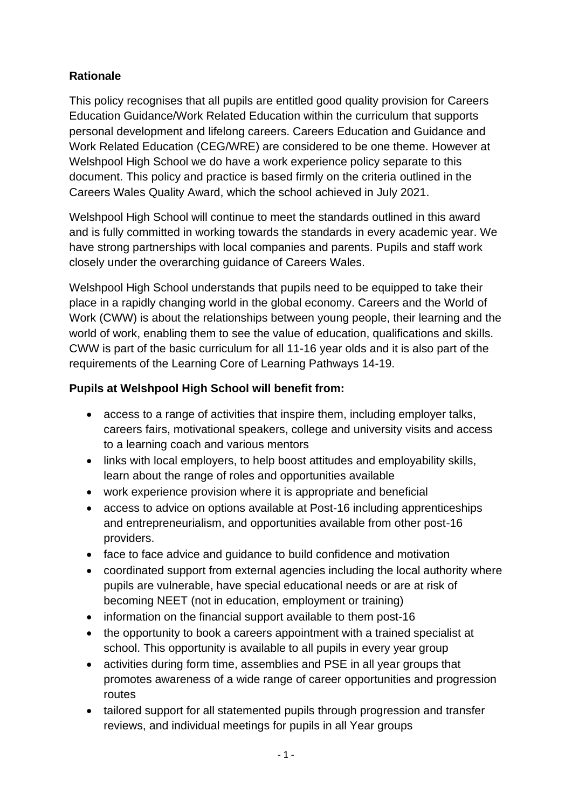### **Rationale**

This policy recognises that all pupils are entitled good quality provision for Careers Education Guidance/Work Related Education within the curriculum that supports personal development and lifelong careers. Careers Education and Guidance and Work Related Education (CEG/WRE) are considered to be one theme. However at Welshpool High School we do have a work experience policy separate to this document. This policy and practice is based firmly on the criteria outlined in the Careers Wales Quality Award, which the school achieved in July 2021.

Welshpool High School will continue to meet the standards outlined in this award and is fully committed in working towards the standards in every academic year. We have strong partnerships with local companies and parents. Pupils and staff work closely under the overarching guidance of Careers Wales.

Welshpool High School understands that pupils need to be equipped to take their place in a rapidly changing world in the global economy. Careers and the World of Work (CWW) is about the relationships between young people, their learning and the world of work, enabling them to see the value of education, qualifications and skills. CWW is part of the basic curriculum for all 11-16 year olds and it is also part of the requirements of the Learning Core of Learning Pathways 14-19.

#### **Pupils at Welshpool High School will benefit from:**

- access to a range of activities that inspire them, including employer talks, careers fairs, motivational speakers, college and university visits and access to a learning coach and various mentors
- links with local employers, to help boost attitudes and employability skills, learn about the range of roles and opportunities available
- work experience provision where it is appropriate and beneficial
- access to advice on options available at Post-16 including apprenticeships and entrepreneurialism, and opportunities available from other post-16 providers.
- face to face advice and guidance to build confidence and motivation
- coordinated support from external agencies including the local authority where pupils are vulnerable, have special educational needs or are at risk of becoming NEET (not in education, employment or training)
- information on the financial support available to them post-16
- the opportunity to book a careers appointment with a trained specialist at school. This opportunity is available to all pupils in every year group
- activities during form time, assemblies and PSE in all year groups that promotes awareness of a wide range of career opportunities and progression routes
- tailored support for all statemented pupils through progression and transfer reviews, and individual meetings for pupils in all Year groups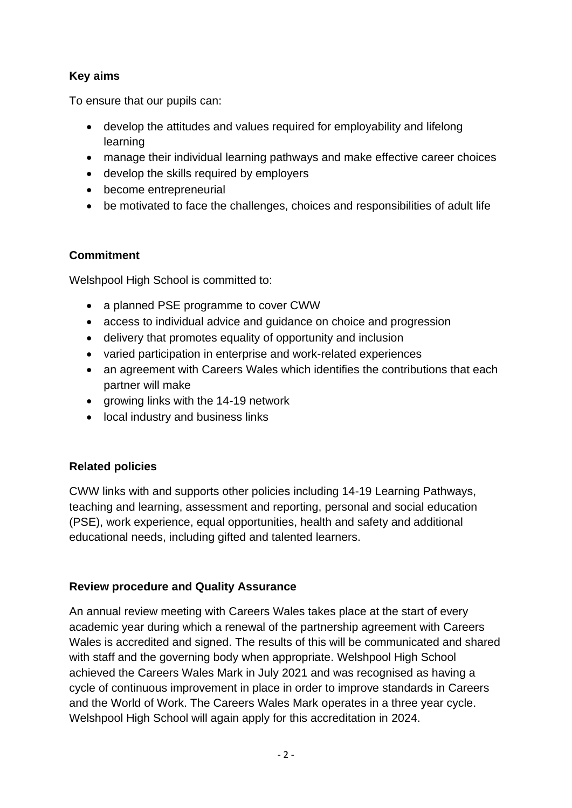#### **Key aims**

To ensure that our pupils can:

- develop the attitudes and values required for employability and lifelong learning
- manage their individual learning pathways and make effective career choices
- develop the skills required by employers
- become entrepreneurial
- be motivated to face the challenges, choices and responsibilities of adult life

#### **Commitment**

Welshpool High School is committed to:

- a planned PSE programme to cover CWW
- access to individual advice and guidance on choice and progression
- delivery that promotes equality of opportunity and inclusion
- varied participation in enterprise and work-related experiences
- an agreement with Careers Wales which identifies the contributions that each partner will make
- growing links with the 14-19 network
- local industry and business links

## **Related policies**

CWW links with and supports other policies including 14-19 Learning Pathways, teaching and learning, assessment and reporting, personal and social education (PSE), work experience, equal opportunities, health and safety and additional educational needs, including gifted and talented learners.

#### **Review procedure and Quality Assurance**

An annual review meeting with Careers Wales takes place at the start of every academic year during which a renewal of the partnership agreement with Careers Wales is accredited and signed. The results of this will be communicated and shared with staff and the governing body when appropriate. Welshpool High School achieved the Careers Wales Mark in July 2021 and was recognised as having a cycle of continuous improvement in place in order to improve standards in Careers and the World of Work. The Careers Wales Mark operates in a three year cycle. Welshpool High School will again apply for this accreditation in 2024.